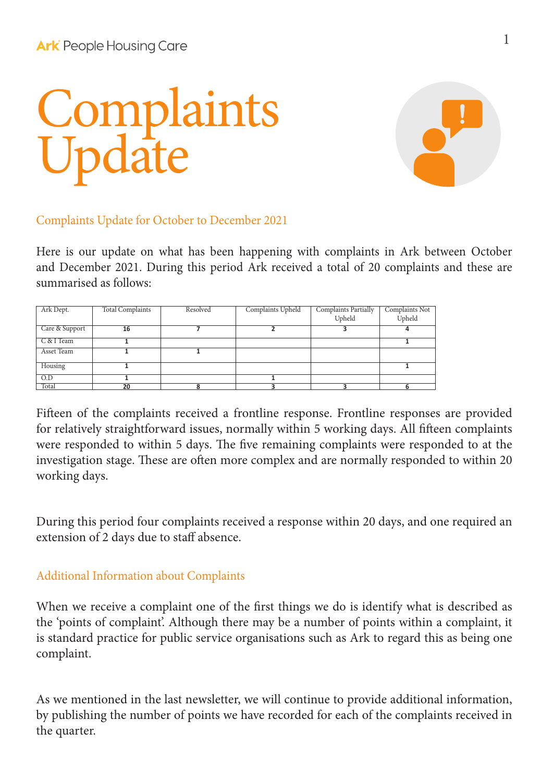## Complaints Update



## Complaints Update for October to December 2021

Here is our update on what has been happening with complaints in Ark between October and December 2021. During this period Ark received a total of 20 complaints and these are summarised as follows:

| Ark Dept.        | <b>Total Complaints</b> | Resolved | Complaints Upheld | Complaints Partially<br>Upheld | Complaints Not<br>Upheld |
|------------------|-------------------------|----------|-------------------|--------------------------------|--------------------------|
| Care & Support   | 16                      |          |                   |                                |                          |
| C & I Team       |                         |          |                   |                                |                          |
| Asset Team       |                         |          |                   |                                |                          |
| Housing          |                         |          |                   |                                |                          |
| $\overline{O.D}$ |                         |          |                   |                                |                          |
| Total            | 20                      | ۰        | ર                 |                                |                          |

Fifteen of the complaints received a frontline response. Frontline responses are provided for relatively straightforward issues, normally within 5 working days. All fifteen complaints were responded to within 5 days. The five remaining complaints were responded to at the investigation stage. These are often more complex and are normally responded to within 20 working days.

During this period four complaints received a response within 20 days, and one required an extension of 2 days due to staff absence.

## Additional Information about Complaints

When we receive a complaint one of the first things we do is identify what is described as the 'points of complaint'. Although there may be a number of points within a complaint, it is standard practice for public service organisations such as Ark to regard this as being one complaint.

As we mentioned in the last newsletter, we will continue to provide additional information, by publishing the number of points we have recorded for each of the complaints received in the quarter.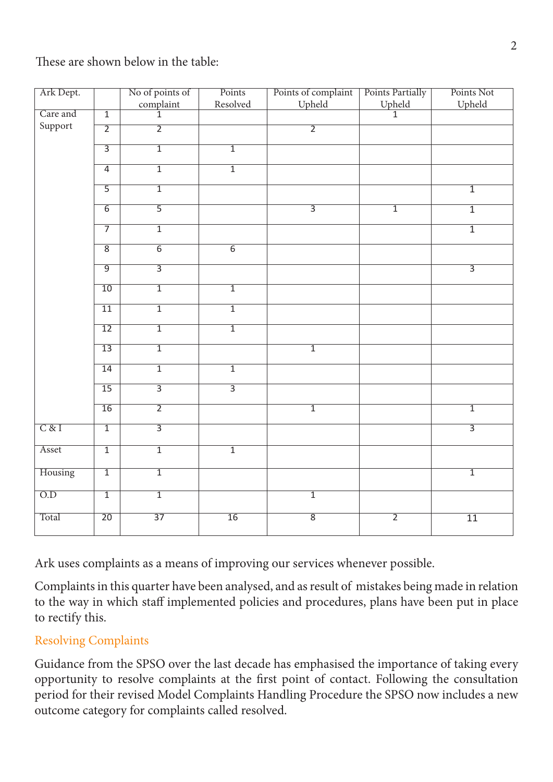These are shown below in the table:

| Ark Dept.        |                 | No of points of             | Points          | Points of complaint | Points Partially          | Points Not      |
|------------------|-----------------|-----------------------------|-----------------|---------------------|---------------------------|-----------------|
|                  |                 | $\frac{\text{complain}}{1}$ | Resolved        | Upheld              | $\frac{\text{Upheld}}{1}$ | Upheld          |
| Care and         | $\overline{1}$  |                             |                 |                     |                           |                 |
| Support          | $\overline{2}$  | $\overline{2}$              |                 | $\overline{2}$      |                           |                 |
|                  | $\overline{3}$  | $\overline{1}$              | $\overline{1}$  |                     |                           |                 |
|                  | $\overline{4}$  | $\overline{1}$              | $\overline{1}$  |                     |                           |                 |
|                  | $\overline{5}$  | $\overline{1}$              |                 |                     |                           | $\overline{1}$  |
|                  | $\overline{6}$  | $\overline{5}$              |                 | $\overline{3}$      | $\overline{1}$            | $\overline{1}$  |
|                  | $\overline{7}$  | $\overline{1}$              |                 |                     |                           | $\overline{1}$  |
|                  | $\overline{8}$  | $\overline{6}$              | $\overline{6}$  |                     |                           |                 |
|                  | $\overline{9}$  | $\overline{3}$              |                 |                     |                           | $\overline{3}$  |
|                  | 10              | $\overline{1}$              | $\overline{1}$  |                     |                           |                 |
|                  | $\overline{11}$ | $\overline{1}$              | $\overline{1}$  |                     |                           |                 |
|                  | $\overline{12}$ | $\overline{1}$              | $\overline{1}$  |                     |                           |                 |
|                  | 13              | $\overline{1}$              |                 | $\overline{1}$      |                           |                 |
|                  | 14              | $\overline{1}$              | $\overline{1}$  |                     |                           |                 |
|                  | $\overline{15}$ | $\overline{3}$              | $\overline{3}$  |                     |                           |                 |
|                  | 16              | $\overline{2}$              |                 | $\overline{1}$      |                           | $\overline{1}$  |
| C & I            | $\overline{1}$  | $\overline{3}$              |                 |                     |                           | $\overline{3}$  |
| Asset            | $\overline{1}$  | $\overline{1}$              | $\overline{1}$  |                     |                           |                 |
| Housing          | $\overline{1}$  | $\overline{1}$              |                 |                     |                           | $\overline{1}$  |
| $\overline{O.D}$ | $\overline{1}$  | $\overline{1}$              |                 | $\overline{1}$      |                           |                 |
| Total            | $\overline{20}$ | $\overline{37}$             | $\overline{16}$ | $\overline{8}$      | $\overline{2}$            | $\overline{11}$ |

Ark uses complaints as a means of improving our services whenever possible.

Complaints in this quarter have been analysed, and as result of mistakes being made in relation to the way in which staff implemented policies and procedures, plans have been put in place to rectify this.

## Resolving Complaints

Guidance from the SPSO over the last decade has emphasised the importance of taking every opportunity to resolve complaints at the first point of contact. Following the consultation period for their revised Model Complaints Handling Procedure the SPSO now includes a new outcome category for complaints called resolved.